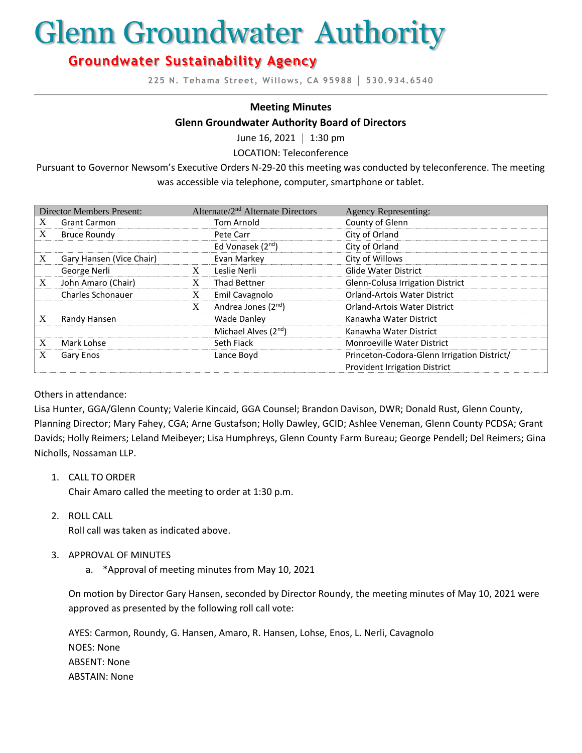# Glenn Groundwater Authority

# **Groundwater Sustainability Agency**

**225 N. Tehama Street, Willows, CA 95988 │ 530.934.6540**

## **Meeting Minutes**

#### **Glenn Groundwater Authority Board of Directors**

June 16, 2021 **│** 1:30 pm

LOCATION: Teleconference

Pursuant to Governor Newsom's Executive Orders N-29-20 this meeting was conducted by teleconference. The meeting was accessible via telephone, computer, smartphone or tablet.

| <b>Director Members Present:</b> |                          | Alternate/2 <sup>nd</sup> Alternate Directors |                                  | <b>Agency Representing:</b>                 |
|----------------------------------|--------------------------|-----------------------------------------------|----------------------------------|---------------------------------------------|
| X                                | <b>Grant Carmon</b>      |                                               | Tom Arnold                       | County of Glenn                             |
| X                                | <b>Bruce Roundy</b>      |                                               | Pete Carr                        | City of Orland                              |
|                                  |                          |                                               | Ed Vonasek (2 <sup>nd</sup> )    | City of Orland                              |
| X                                | Gary Hansen (Vice Chair) |                                               | Evan Markey                      | City of Willows                             |
|                                  | George Nerli             | X                                             | Leslie Nerli                     | <b>Glide Water District</b>                 |
| X                                | John Amaro (Chair)       | X                                             | Thad Bettner                     | Glenn-Colusa Irrigation District            |
|                                  | <b>Charles Schonauer</b> | X                                             | Emil Cavagnolo                   | <b>Orland-Artois Water District</b>         |
|                                  |                          | X                                             | Andrea Jones (2 <sup>nd</sup> )  | <b>Orland-Artois Water District</b>         |
| X                                | Randy Hansen             |                                               | <b>Wade Danley</b>               | Kanawha Water District                      |
|                                  |                          |                                               | Michael Alves (2 <sup>nd</sup> ) | Kanawha Water District                      |
| X                                | Mark Lohse               |                                               | Seth Fiack                       | <b>Monroeville Water District</b>           |
| X                                | Gary Enos                |                                               | Lance Boyd                       | Princeton-Codora-Glenn Irrigation District/ |
|                                  |                          |                                               |                                  | <b>Provident Irrigation District</b>        |

## Others in attendance:

Lisa Hunter, GGA/Glenn County; Valerie Kincaid, GGA Counsel; Brandon Davison, DWR; Donald Rust, Glenn County, Planning Director; Mary Fahey, CGA; Arne Gustafson; Holly Dawley, GCID; Ashlee Veneman, Glenn County PCDSA; Grant Davids; Holly Reimers; Leland Meibeyer; Lisa Humphreys, Glenn County Farm Bureau; George Pendell; Del Reimers; Gina Nicholls, Nossaman LLP.

1. CALL TO ORDER

Chair Amaro called the meeting to order at 1:30 p.m.

2. ROLL CALL

Roll call was taken as indicated above.

- 3. APPROVAL OF MINUTES
	- a. \*Approval of meeting minutes from May 10, 2021

On motion by Director Gary Hansen, seconded by Director Roundy, the meeting minutes of May 10, 2021 were approved as presented by the following roll call vote:

AYES: Carmon, Roundy, G. Hansen, Amaro, R. Hansen, Lohse, Enos, L. Nerli, Cavagnolo NOES: None ABSENT: None ABSTAIN: None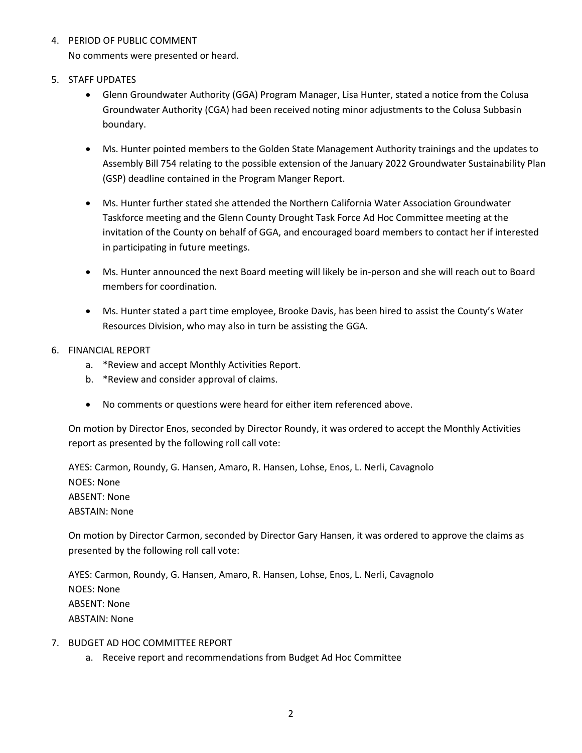- 4. PERIOD OF PUBLIC COMMENT No comments were presented or heard.
- 5. STAFF UPDATES
	- Glenn Groundwater Authority (GGA) Program Manager, Lisa Hunter, stated a notice from the Colusa Groundwater Authority (CGA) had been received noting minor adjustments to the Colusa Subbasin boundary.
	- Ms. Hunter pointed members to the Golden State Management Authority trainings and the updates to Assembly Bill 754 relating to the possible extension of the January 2022 Groundwater Sustainability Plan (GSP) deadline contained in the Program Manger Report.
	- Ms. Hunter further stated she attended the Northern California Water Association Groundwater Taskforce meeting and the Glenn County Drought Task Force Ad Hoc Committee meeting at the invitation of the County on behalf of GGA, and encouraged board members to contact her if interested in participating in future meetings.
	- Ms. Hunter announced the next Board meeting will likely be in-person and she will reach out to Board members for coordination.
	- Ms. Hunter stated a part time employee, Brooke Davis, has been hired to assist the County's Water Resources Division, who may also in turn be assisting the GGA.
- 6. FINANCIAL REPORT
	- a. \*Review and accept Monthly Activities Report.
	- b. \*Review and consider approval of claims.
	- No comments or questions were heard for either item referenced above.

On motion by Director Enos, seconded by Director Roundy, it was ordered to accept the Monthly Activities report as presented by the following roll call vote:

AYES: Carmon, Roundy, G. Hansen, Amaro, R. Hansen, Lohse, Enos, L. Nerli, Cavagnolo NOES: None ABSENT: None ABSTAIN: None

On motion by Director Carmon, seconded by Director Gary Hansen, it was ordered to approve the claims as presented by the following roll call vote:

AYES: Carmon, Roundy, G. Hansen, Amaro, R. Hansen, Lohse, Enos, L. Nerli, Cavagnolo NOES: None ABSENT: None ABSTAIN: None

- 7. BUDGET AD HOC COMMITTEE REPORT
	- a. Receive report and recommendations from Budget Ad Hoc Committee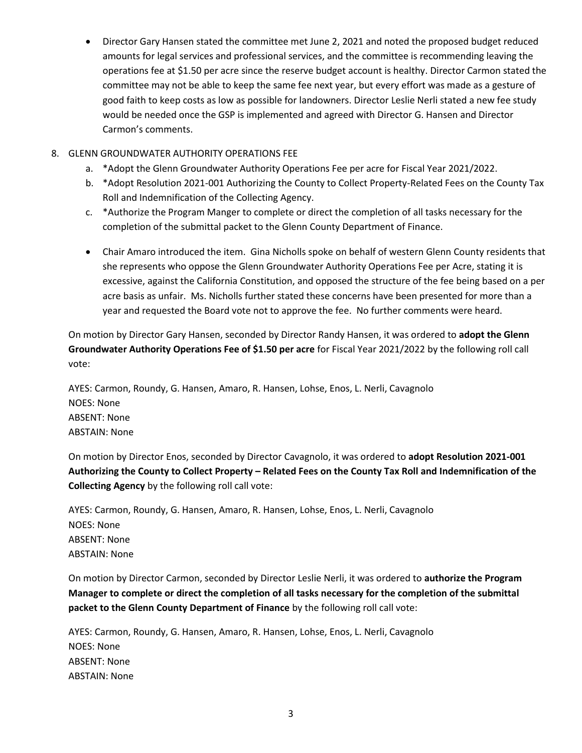• Director Gary Hansen stated the committee met June 2, 2021 and noted the proposed budget reduced amounts for legal services and professional services, and the committee is recommending leaving the operations fee at \$1.50 per acre since the reserve budget account is healthy. Director Carmon stated the committee may not be able to keep the same fee next year, but every effort was made as a gesture of good faith to keep costs as low as possible for landowners. Director Leslie Nerli stated a new fee study would be needed once the GSP is implemented and agreed with Director G. Hansen and Director Carmon's comments.

# 8. GLENN GROUNDWATER AUTHORITY OPERATIONS FEE

- a. \*Adopt the Glenn Groundwater Authority Operations Fee per acre for Fiscal Year 2021/2022.
- b. \*Adopt Resolution 2021-001 Authorizing the County to Collect Property-Related Fees on the County Tax Roll and Indemnification of the Collecting Agency.
- c. \*Authorize the Program Manger to complete or direct the completion of all tasks necessary for the completion of the submittal packet to the Glenn County Department of Finance.
- Chair Amaro introduced the item. Gina Nicholls spoke on behalf of western Glenn County residents that she represents who oppose the Glenn Groundwater Authority Operations Fee per Acre, stating it is excessive, against the California Constitution, and opposed the structure of the fee being based on a per acre basis as unfair. Ms. Nicholls further stated these concerns have been presented for more than a year and requested the Board vote not to approve the fee. No further comments were heard.

On motion by Director Gary Hansen, seconded by Director Randy Hansen, it was ordered to **adopt the Glenn Groundwater Authority Operations Fee of \$1.50 per acre** for Fiscal Year 2021/2022 by the following roll call vote:

AYES: Carmon, Roundy, G. Hansen, Amaro, R. Hansen, Lohse, Enos, L. Nerli, Cavagnolo NOES: None ABSENT: None ABSTAIN: None

On motion by Director Enos, seconded by Director Cavagnolo, it was ordered to **adopt Resolution 2021-001 Authorizing the County to Collect Property – Related Fees on the County Tax Roll and Indemnification of the Collecting Agency** by the following roll call vote:

AYES: Carmon, Roundy, G. Hansen, Amaro, R. Hansen, Lohse, Enos, L. Nerli, Cavagnolo NOES: None ABSENT: None ABSTAIN: None

On motion by Director Carmon, seconded by Director Leslie Nerli, it was ordered to **authorize the Program Manager to complete or direct the completion of all tasks necessary for the completion of the submittal packet to the Glenn County Department of Finance** by the following roll call vote:

AYES: Carmon, Roundy, G. Hansen, Amaro, R. Hansen, Lohse, Enos, L. Nerli, Cavagnolo NOES: None ABSENT: None ABSTAIN: None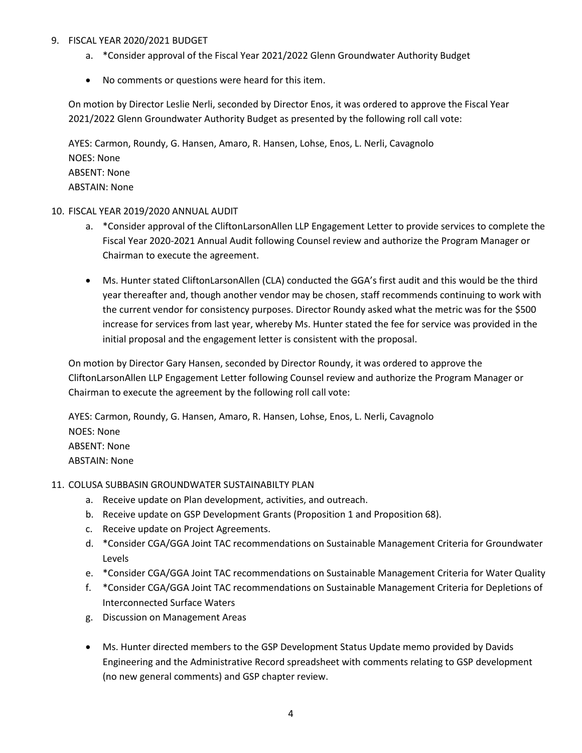# 9. FISCAL YEAR 2020/2021 BUDGET

- a. \*Consider approval of the Fiscal Year 2021/2022 Glenn Groundwater Authority Budget
- No comments or questions were heard for this item.

On motion by Director Leslie Nerli, seconded by Director Enos, it was ordered to approve the Fiscal Year 2021/2022 Glenn Groundwater Authority Budget as presented by the following roll call vote:

AYES: Carmon, Roundy, G. Hansen, Amaro, R. Hansen, Lohse, Enos, L. Nerli, Cavagnolo NOES: None ABSENT: None ABSTAIN: None

# 10. FISCAL YEAR 2019/2020 ANNUAL AUDIT

- a. \*Consider approval of the CliftonLarsonAllen LLP Engagement Letter to provide services to complete the Fiscal Year 2020-2021 Annual Audit following Counsel review and authorize the Program Manager or Chairman to execute the agreement.
- Ms. Hunter stated CliftonLarsonAllen (CLA) conducted the GGA's first audit and this would be the third year thereafter and, though another vendor may be chosen, staff recommends continuing to work with the current vendor for consistency purposes. Director Roundy asked what the metric was for the \$500 increase for services from last year, whereby Ms. Hunter stated the fee for service was provided in the initial proposal and the engagement letter is consistent with the proposal.

On motion by Director Gary Hansen, seconded by Director Roundy, it was ordered to approve the CliftonLarsonAllen LLP Engagement Letter following Counsel review and authorize the Program Manager or Chairman to execute the agreement by the following roll call vote:

AYES: Carmon, Roundy, G. Hansen, Amaro, R. Hansen, Lohse, Enos, L. Nerli, Cavagnolo NOES: None ABSENT: None ABSTAIN: None

# 11. COLUSA SUBBASIN GROUNDWATER SUSTAINABILTY PLAN

- a. Receive update on Plan development, activities, and outreach.
- b. Receive update on GSP Development Grants (Proposition 1 and Proposition 68).
- c. Receive update on Project Agreements.
- d. \*Consider CGA/GGA Joint TAC recommendations on Sustainable Management Criteria for Groundwater Levels
- e. \*Consider CGA/GGA Joint TAC recommendations on Sustainable Management Criteria for Water Quality
- f. \*Consider CGA/GGA Joint TAC recommendations on Sustainable Management Criteria for Depletions of Interconnected Surface Waters
- g. Discussion on Management Areas
- Ms. Hunter directed members to the GSP Development Status Update memo provided by Davids Engineering and the Administrative Record spreadsheet with comments relating to GSP development (no new general comments) and GSP chapter review.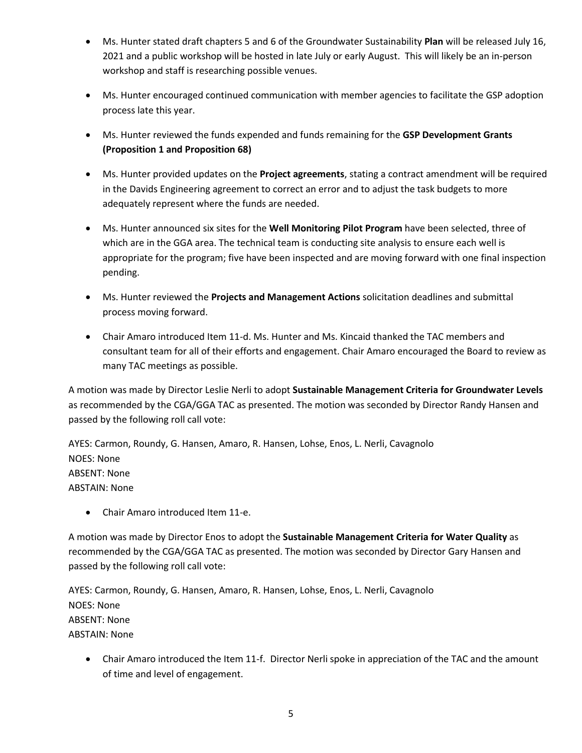- Ms. Hunter stated draft chapters 5 and 6 of the Groundwater Sustainability **Plan** will be released July 16, 2021 and a public workshop will be hosted in late July or early August. This will likely be an in-person workshop and staff is researching possible venues.
- Ms. Hunter encouraged continued communication with member agencies to facilitate the GSP adoption process late this year.
- Ms. Hunter reviewed the funds expended and funds remaining for the **GSP Development Grants (Proposition 1 and Proposition 68)**
- Ms. Hunter provided updates on the **Project agreements**, stating a contract amendment will be required in the Davids Engineering agreement to correct an error and to adjust the task budgets to more adequately represent where the funds are needed.
- Ms. Hunter announced six sites for the **Well Monitoring Pilot Program** have been selected, three of which are in the GGA area. The technical team is conducting site analysis to ensure each well is appropriate for the program; five have been inspected and are moving forward with one final inspection pending.
- Ms. Hunter reviewed the **Projects and Management Actions** solicitation deadlines and submittal process moving forward.
- Chair Amaro introduced Item 11-d. Ms. Hunter and Ms. Kincaid thanked the TAC members and consultant team for all of their efforts and engagement. Chair Amaro encouraged the Board to review as many TAC meetings as possible.

A motion was made by Director Leslie Nerli to adopt **Sustainable Management Criteria for Groundwater Levels** as recommended by the CGA/GGA TAC as presented. The motion was seconded by Director Randy Hansen and passed by the following roll call vote:

AYES: Carmon, Roundy, G. Hansen, Amaro, R. Hansen, Lohse, Enos, L. Nerli, Cavagnolo NOES: None ABSENT: None ABSTAIN: None

• Chair Amaro introduced Item 11-e.

A motion was made by Director Enos to adopt the **Sustainable Management Criteria for Water Quality** as recommended by the CGA/GGA TAC as presented. The motion was seconded by Director Gary Hansen and passed by the following roll call vote:

AYES: Carmon, Roundy, G. Hansen, Amaro, R. Hansen, Lohse, Enos, L. Nerli, Cavagnolo NOES: None ABSENT: None ABSTAIN: None

• Chair Amaro introduced the Item 11-f. Director Nerli spoke in appreciation of the TAC and the amount of time and level of engagement.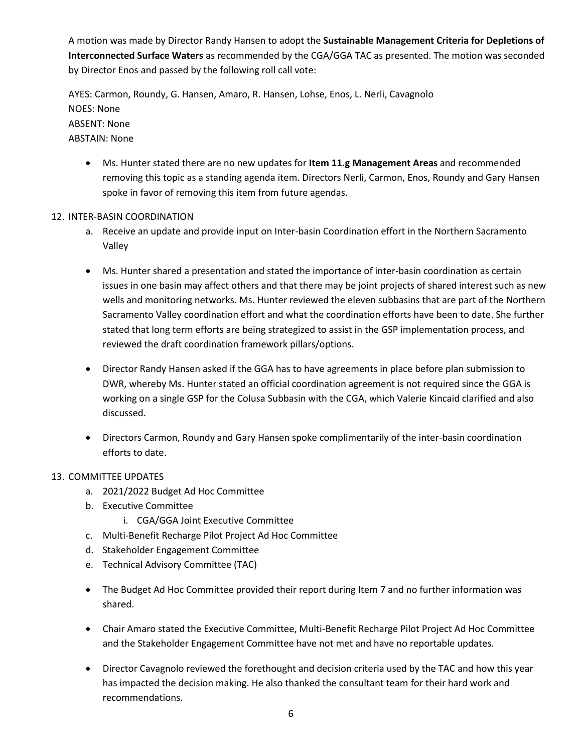A motion was made by Director Randy Hansen to adopt the **Sustainable Management Criteria for Depletions of Interconnected Surface Waters** as recommended by the CGA/GGA TAC as presented. The motion was seconded by Director Enos and passed by the following roll call vote:

AYES: Carmon, Roundy, G. Hansen, Amaro, R. Hansen, Lohse, Enos, L. Nerli, Cavagnolo NOES: None ABSENT: None ABSTAIN: None

• Ms. Hunter stated there are no new updates for **Item 11.g Management Areas** and recommended removing this topic as a standing agenda item. Directors Nerli, Carmon, Enos, Roundy and Gary Hansen spoke in favor of removing this item from future agendas.

# 12. INTER-BASIN COORDINATION

- a. Receive an update and provide input on Inter-basin Coordination effort in the Northern Sacramento Valley
- Ms. Hunter shared a presentation and stated the importance of inter-basin coordination as certain issues in one basin may affect others and that there may be joint projects of shared interest such as new wells and monitoring networks. Ms. Hunter reviewed the eleven subbasins that are part of the Northern Sacramento Valley coordination effort and what the coordination efforts have been to date. She further stated that long term efforts are being strategized to assist in the GSP implementation process, and reviewed the draft coordination framework pillars/options.
- Director Randy Hansen asked if the GGA has to have agreements in place before plan submission to DWR, whereby Ms. Hunter stated an official coordination agreement is not required since the GGA is working on a single GSP for the Colusa Subbasin with the CGA, which Valerie Kincaid clarified and also discussed.
- Directors Carmon, Roundy and Gary Hansen spoke complimentarily of the inter-basin coordination efforts to date.

# 13. COMMITTEE UPDATES

- a. 2021/2022 Budget Ad Hoc Committee
- b. Executive Committee
	- i. CGA/GGA Joint Executive Committee
- c. Multi-Benefit Recharge Pilot Project Ad Hoc Committee
- d. Stakeholder Engagement Committee
- e. Technical Advisory Committee (TAC)
- The Budget Ad Hoc Committee provided their report during Item 7 and no further information was shared.
- Chair Amaro stated the Executive Committee, Multi-Benefit Recharge Pilot Project Ad Hoc Committee and the Stakeholder Engagement Committee have not met and have no reportable updates.
- Director Cavagnolo reviewed the forethought and decision criteria used by the TAC and how this year has impacted the decision making. He also thanked the consultant team for their hard work and recommendations.